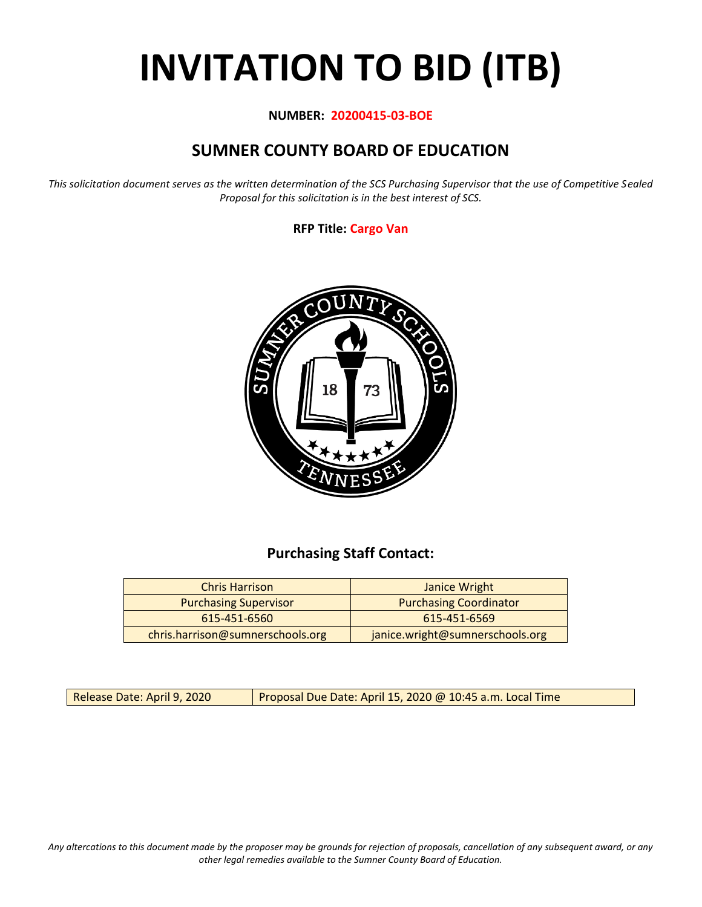# **INVITATION TO BID (ITB)**

#### **NUMBER: 20200415-03-BOE**

# **SUMNER COUNTY BOARD OF EDUCATION**

*This solicitation document serves as the written determination of the SCS Purchasing Supervisor that the use of Competitive Sealed Proposal for this solicitation is in the best interest of SCS.*

#### **RFP Title: Cargo Van**



## **Purchasing Staff Contact:**

| <b>Chris Harrison</b>            | Janice Wright                   |
|----------------------------------|---------------------------------|
| <b>Purchasing Supervisor</b>     | <b>Purchasing Coordinator</b>   |
| 615-451-6560                     | 615-451-6569                    |
| chris.harrison@sumnerschools.org | janice.wright@sumnerschools.org |

Release Date: April 9, 2020 | Proposal Due Date: April 15, 2020 @ 10:45 a.m. Local Time

*Any altercations to this document made by the proposer may be grounds for rejection of proposals, cancellation of any subsequent award, or any other legal remedies available to the Sumner County Board of Education.*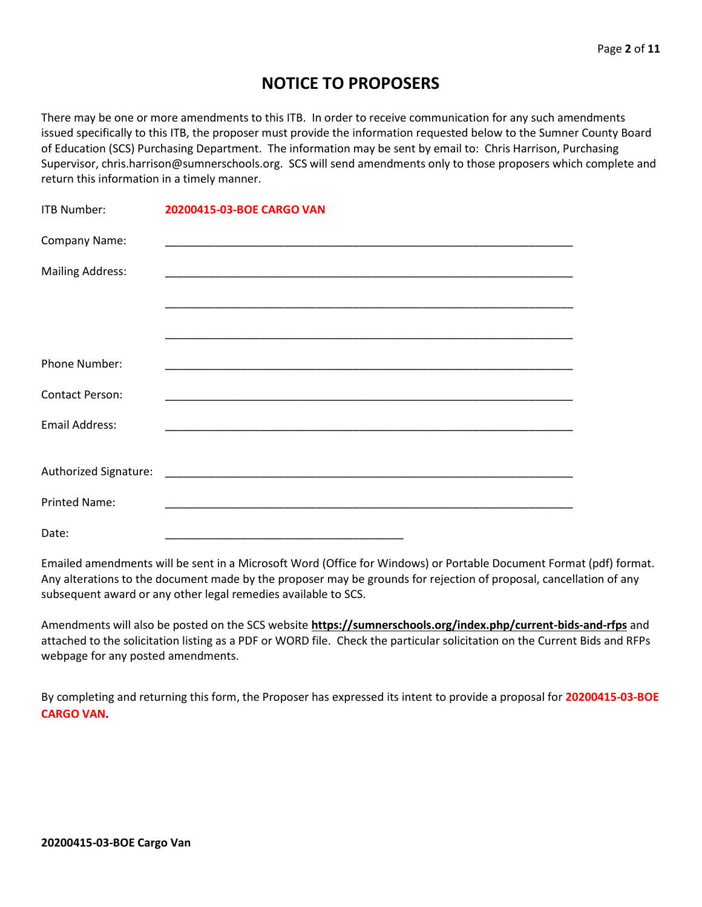## **NOTICE TO PROPOSERS**

There may be one or more amendments to this ITB. In order to receive communication for any such amendments issued specifically to this ITB, the proposer must provide the information requested below to the Sumner County Board of Education (SCS) Purchasing Department. The information may be sent by email to: Chris Harrison, Purchasing Supervisor, chris.harrison@sumnerschools.org. SCS will send amendments only to those proposers which complete and return this information in a timely manner.

| <b>ITB Number:</b>      | 20200415-03-BOE CARGO VAN |
|-------------------------|---------------------------|
| Company Name:           |                           |
| <b>Mailing Address:</b> |                           |
|                         |                           |
|                         |                           |
| <b>Phone Number:</b>    |                           |
| <b>Contact Person:</b>  |                           |
| Email Address:          |                           |
|                         |                           |
|                         |                           |
| <b>Printed Name:</b>    |                           |
| Date:                   |                           |

Emailed amendments will be sent in a Microsoft Word (Office for Windows) or Portable Document Format (pdf) format. Any alterations to the document made by the proposer may be grounds for rejection of proposal, cancellation of any subsequent award or any other legal remedies available to SCS.

Amendments will also be posted on the SCS website **https://sumnerschools.org/index.php/current-bids-and-rfps** and attached to the solicitation listing as a PDF or WORD file. Check the particular solicitation on the Current Bids and RFPs webpage for any posted amendments.

By completing and returning this form, the Proposer has expressed its intent to provide a proposal for **20200415-03-BOE CARGO VAN.**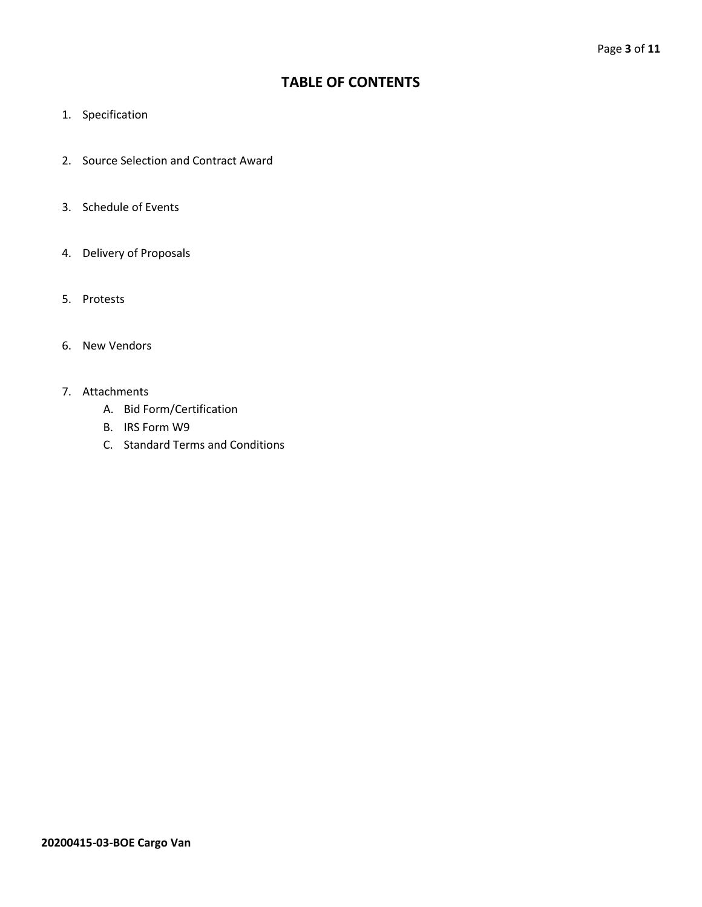## **TABLE OF CONTENTS**

- 1. Specification
- 2. Source Selection and Contract Award
- 3. Schedule of Events
- 4. Delivery of Proposals
- 5. Protests
- 6. New Vendors
- 7. Attachments
	- A. Bid Form/Certification
	- B. IRS Form W9
	- C. Standard Terms and Conditions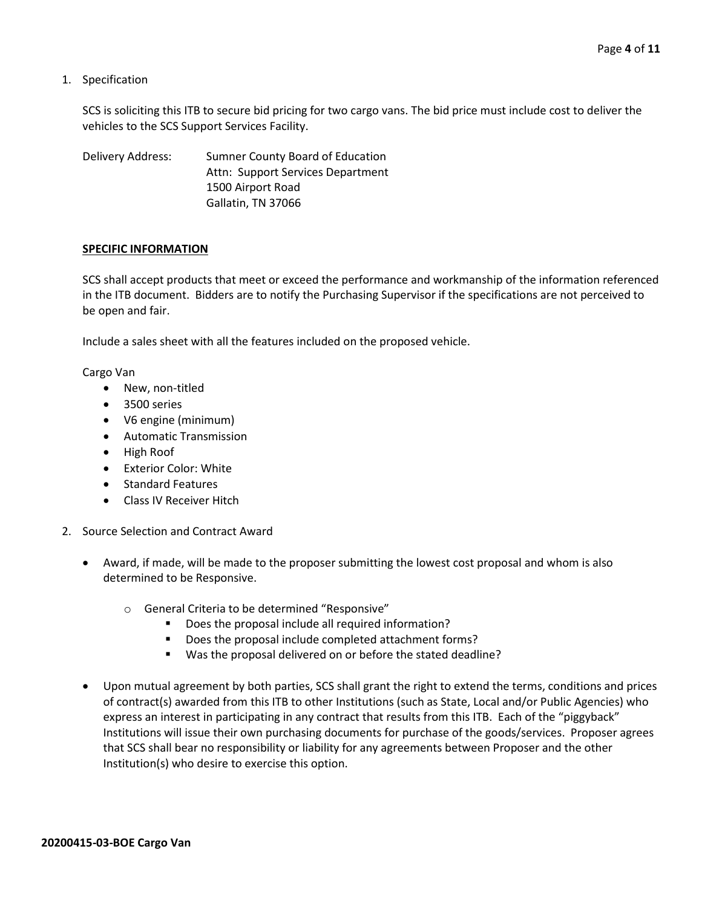1. Specification

SCS is soliciting this ITB to secure bid pricing for two cargo vans. The bid price must include cost to deliver the vehicles to the SCS Support Services Facility.

Delivery Address: Sumner County Board of Education Attn: Support Services Department 1500 Airport Road Gallatin, TN 37066

#### **SPECIFIC INFORMATION**

SCS shall accept products that meet or exceed the performance and workmanship of the information referenced in the ITB document. Bidders are to notify the Purchasing Supervisor if the specifications are not perceived to be open and fair.

Include a sales sheet with all the features included on the proposed vehicle.

Cargo Van

- New, non-titled
- 3500 series
- V6 engine (minimum)
- Automatic Transmission
- High Roof
- Exterior Color: White
- Standard Features
- Class IV Receiver Hitch
- 2. Source Selection and Contract Award
	- Award, if made, will be made to the proposer submitting the lowest cost proposal and whom is also determined to be Responsive.
		- o General Criteria to be determined "Responsive"
			- Does the proposal include all required information?
			- Does the proposal include completed attachment forms?
			- Was the proposal delivered on or before the stated deadline?
	- Upon mutual agreement by both parties, SCS shall grant the right to extend the terms, conditions and prices of contract(s) awarded from this ITB to other Institutions (such as State, Local and/or Public Agencies) who express an interest in participating in any contract that results from this ITB. Each of the "piggyback" Institutions will issue their own purchasing documents for purchase of the goods/services. Proposer agrees that SCS shall bear no responsibility or liability for any agreements between Proposer and the other Institution(s) who desire to exercise this option.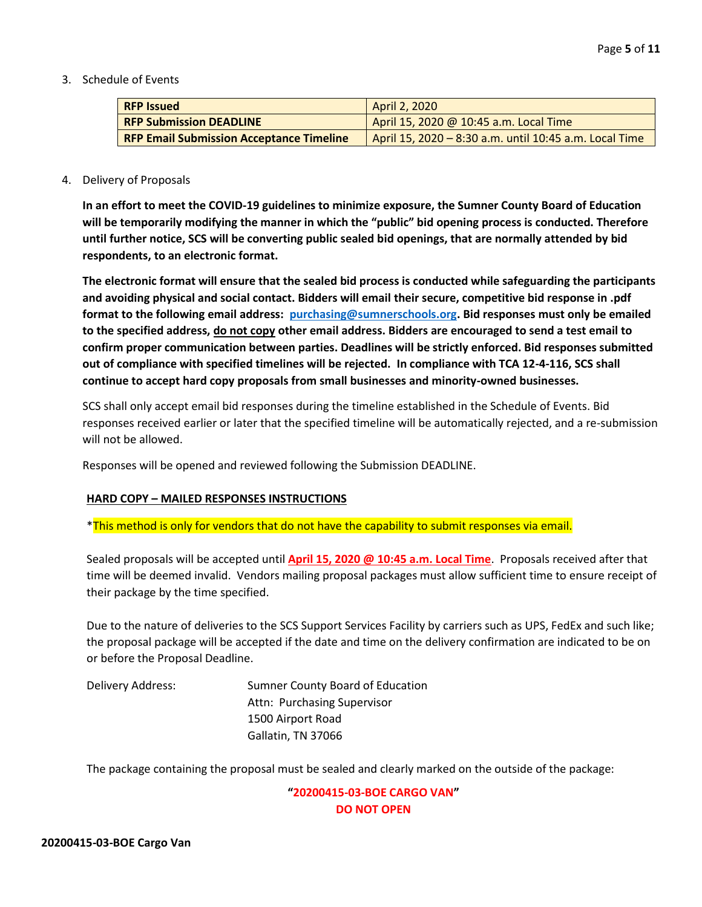3. Schedule of Events

| <b>RFP Issued</b>                               | April 2, 2020                                          |
|-------------------------------------------------|--------------------------------------------------------|
| <b>RFP Submission DEADLINE</b>                  | April 15, 2020 @ 10:45 a.m. Local Time                 |
| <b>RFP Email Submission Acceptance Timeline</b> | April 15, 2020 - 8:30 a.m. until 10:45 a.m. Local Time |

#### 4. Delivery of Proposals

**In an effort to meet the COVID-19 guidelines to minimize exposure, the Sumner County Board of Education will be temporarily modifying the manner in which the "public" bid opening process is conducted. Therefore until further notice, SCS will be converting public sealed bid openings, that are normally attended by bid respondents, to an electronic format.**

**The electronic format will ensure that the sealed bid process is conducted while safeguarding the participants and avoiding physical and social contact. Bidders will email their secure, competitive bid response in .pdf format to the following email address: [purchasing@sumnerschools.org.](mailto:purchasing@sumnerschools.org) Bid responses must only be emailed to the specified address, do not copy other email address. Bidders are encouraged to send a test email to confirm proper communication between parties. Deadlines will be strictly enforced. Bid responses submitted out of compliance with specified timelines will be rejected. In compliance with TCA 12-4-116, SCS shall continue to accept hard copy proposals from small businesses and minority-owned businesses.**

SCS shall only accept email bid responses during the timeline established in the Schedule of Events. Bid responses received earlier or later that the specified timeline will be automatically rejected, and a re-submission will not be allowed.

Responses will be opened and reviewed following the Submission DEADLINE.

#### **HARD COPY – MAILED RESPONSES INSTRUCTIONS**

\*This method is only for vendors that do not have the capability to submit responses via email.

Sealed proposals will be accepted until **April 15, 2020 @ 10:45 a.m. Local Time**. Proposals received after that time will be deemed invalid. Vendors mailing proposal packages must allow sufficient time to ensure receipt of their package by the time specified.

Due to the nature of deliveries to the SCS Support Services Facility by carriers such as UPS, FedEx and such like; the proposal package will be accepted if the date and time on the delivery confirmation are indicated to be on or before the Proposal Deadline.

Delivery Address: Sumner County Board of Education Attn: Purchasing Supervisor 1500 Airport Road Gallatin, TN 37066

The package containing the proposal must be sealed and clearly marked on the outside of the package:

**"20200415-03-BOE CARGO VAN" DO NOT OPEN**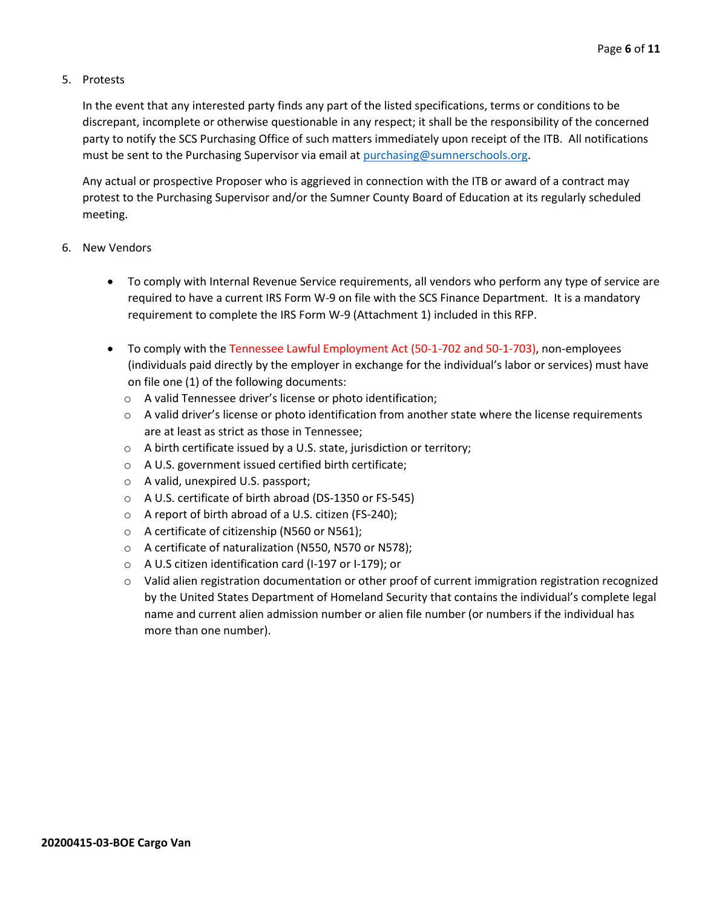#### 5. Protests

In the event that any interested party finds any part of the listed specifications, terms or conditions to be discrepant, incomplete or otherwise questionable in any respect; it shall be the responsibility of the concerned party to notify the SCS Purchasing Office of such matters immediately upon receipt of the ITB. All notifications must be sent to the Purchasing Supervisor via email at [purchasing@sumnerschools.org.](mailto:purchasing@sumnerschools.org)

Any actual or prospective Proposer who is aggrieved in connection with the ITB or award of a contract may protest to the Purchasing Supervisor and/or the Sumner County Board of Education at its regularly scheduled meeting.

#### 6. New Vendors

- To comply with Internal Revenue Service requirements, all vendors who perform any type of service are required to have a current IRS Form W-9 on file with the SCS Finance Department. It is a mandatory requirement to complete the IRS Form W-9 (Attachment 1) included in this RFP.
- To comply with the Tennessee Lawful Employment Act (50-1-702 and 50-1-703), non-employees (individuals paid directly by the employer in exchange for the individual's labor or services) must have on file one (1) of the following documents:
	- o A valid Tennessee driver's license or photo identification;
	- $\circ$  A valid driver's license or photo identification from another state where the license requirements are at least as strict as those in Tennessee;
	- o A birth certificate issued by a U.S. state, jurisdiction or territory;
	- o A U.S. government issued certified birth certificate;
	- o A valid, unexpired U.S. passport;
	- o A U.S. certificate of birth abroad (DS-1350 or FS-545)
	- o A report of birth abroad of a U.S. citizen (FS-240);
	- o A certificate of citizenship (N560 or N561);
	- o A certificate of naturalization (N550, N570 or N578);
	- o A U.S citizen identification card (I-197 or I-179); or
	- $\circ$  Valid alien registration documentation or other proof of current immigration registration recognized by the United States Department of Homeland Security that contains the individual's complete legal name and current alien admission number or alien file number (or numbers if the individual has more than one number).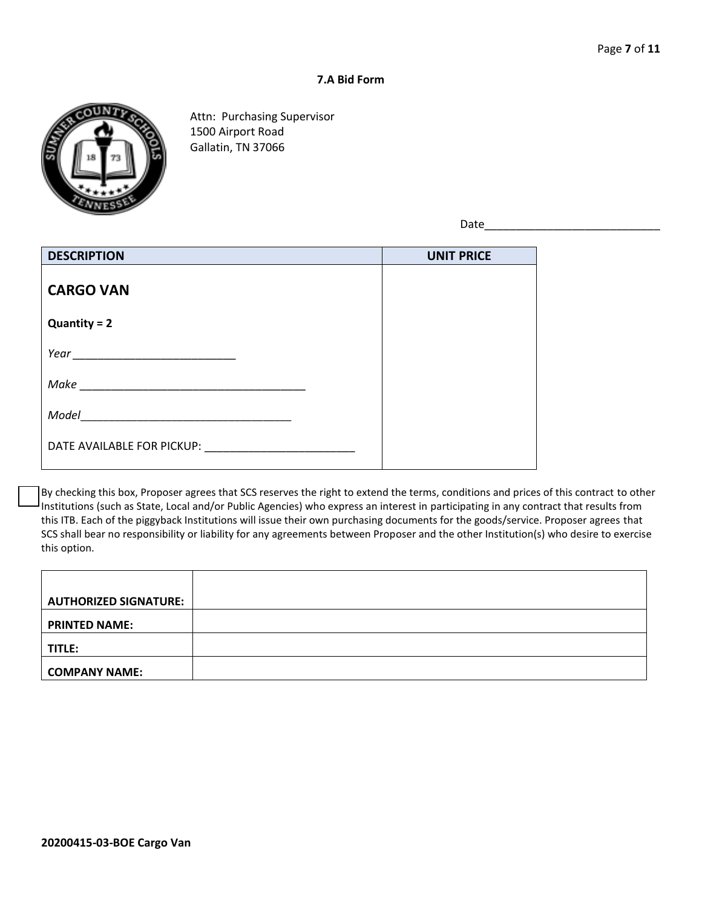#### **7.A Bid Form**



Attn: Purchasing Supervisor 1500 Airport Road Gallatin, TN 37066

Date\_\_\_\_\_\_\_\_\_\_\_\_\_\_\_\_\_\_\_\_\_\_\_\_\_\_\_\_

| <b>DESCRIPTION</b>         | <b>UNIT PRICE</b> |
|----------------------------|-------------------|
| <b>CARGO VAN</b>           |                   |
| $Quantity = 2$             |                   |
|                            |                   |
| Make                       |                   |
| Model                      |                   |
| DATE AVAILABLE FOR PICKUP: |                   |

By checking this box, Proposer agrees that SCS reserves the right to extend the terms, conditions and prices of this contract to other Institutions (such as State, Local and/or Public Agencies) who express an interest in participating in any contract that results from this ITB. Each of the piggyback Institutions will issue their own purchasing documents for the goods/service. Proposer agrees that SCS shall bear no responsibility or liability for any agreements between Proposer and the other Institution(s) who desire to exercise this option.

| <b>AUTHORIZED SIGNATURE:</b> |  |
|------------------------------|--|
| <b>PRINTED NAME:</b>         |  |
| TITLE:                       |  |
| <b>COMPANY NAME:</b>         |  |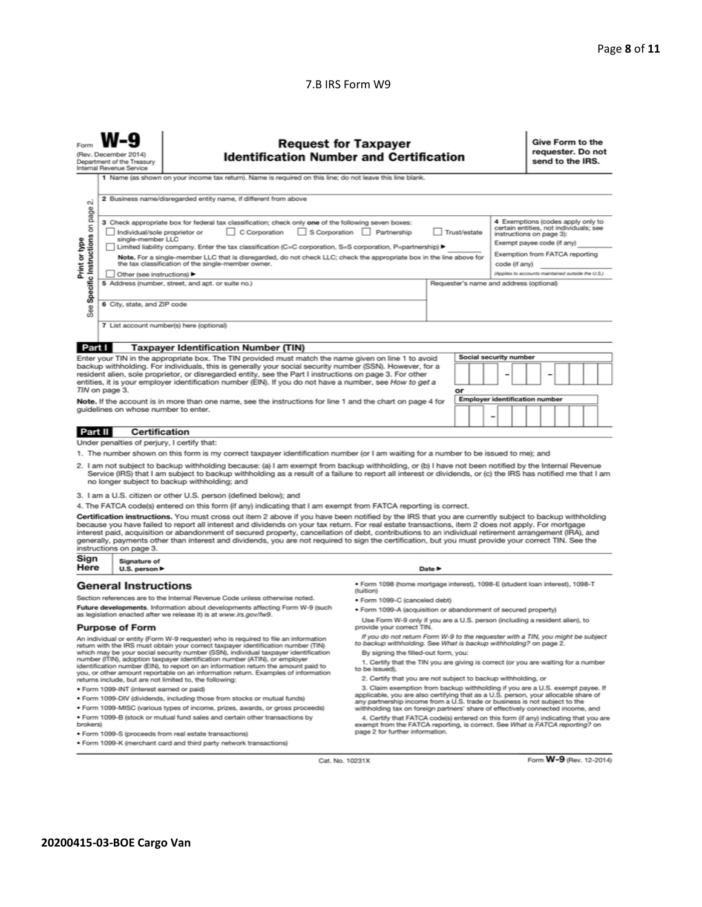#### 7.B IRS Form W9

|                                                                                                                                                                                                                                                                                                                                                                                                                                                                                                                                                                                                                                                                                                                                                                                 | <b>Request for Taxpayer</b><br><b>Identification Number and Certification</b><br>(Rev. December 2014)<br>Department of the Treasury<br>Internal Revenue Service<br>1 Name (as shown on your income tax return). Name is required on this line; do not leave this line blank.                                                                                                                                                                                                                                                                                                                                                                                                                                |                                                                              |                                                                              |                            |  | Give Form to the<br>requester. Do not<br>send to the IRS.                                                                                                                                                                    |  |  |
|---------------------------------------------------------------------------------------------------------------------------------------------------------------------------------------------------------------------------------------------------------------------------------------------------------------------------------------------------------------------------------------------------------------------------------------------------------------------------------------------------------------------------------------------------------------------------------------------------------------------------------------------------------------------------------------------------------------------------------------------------------------------------------|-------------------------------------------------------------------------------------------------------------------------------------------------------------------------------------------------------------------------------------------------------------------------------------------------------------------------------------------------------------------------------------------------------------------------------------------------------------------------------------------------------------------------------------------------------------------------------------------------------------------------------------------------------------------------------------------------------------|------------------------------------------------------------------------------|------------------------------------------------------------------------------|----------------------------|--|------------------------------------------------------------------------------------------------------------------------------------------------------------------------------------------------------------------------------|--|--|
| $\sim$                                                                                                                                                                                                                                                                                                                                                                                                                                                                                                                                                                                                                                                                                                                                                                          | 2 Business name/disregarded entity name, if different from above                                                                                                                                                                                                                                                                                                                                                                                                                                                                                                                                                                                                                                            |                                                                              |                                                                              |                            |  |                                                                                                                                                                                                                              |  |  |
| Specific Instructions on<br>Print or type<br>See                                                                                                                                                                                                                                                                                                                                                                                                                                                                                                                                                                                                                                                                                                                                | page<br>3 Check appropriate box for federal tax classification; check only one of the following seven boxes:<br>S Corporation Partnership<br>Individual/sole proprietor or<br>C Corporation<br>Trust/estate<br>single-member LLC<br>Limited liability company. Enter the tax classification (C=C corporation, S=S corporation, P=partnership) ▶<br>Note. For a single-member LLC that is disregarded, do not check LLC; check the appropriate box in the line above for<br>the tax classification of the single-member owner.<br>code (if any)<br>Other (see instructions) ▶<br>5 Address (number, street, and apt. or suite no.)<br>Requester's name and address (optional)<br>6 City, state, and ZIP code |                                                                              |                                                                              |                            |  | 4 Exemptions (codes apply only to<br>certain entities, not individuals; see<br>instructions on page 3):<br>Exempt payee code (if any)<br>Exemption from FATCA reporting<br>(Applies to accounts maintained outside the U.S.) |  |  |
|                                                                                                                                                                                                                                                                                                                                                                                                                                                                                                                                                                                                                                                                                                                                                                                 |                                                                                                                                                                                                                                                                                                                                                                                                                                                                                                                                                                                                                                                                                                             | 7 List account number(s) here (optional)                                     |                                                                              |                            |  |                                                                                                                                                                                                                              |  |  |
| Part I                                                                                                                                                                                                                                                                                                                                                                                                                                                                                                                                                                                                                                                                                                                                                                          |                                                                                                                                                                                                                                                                                                                                                                                                                                                                                                                                                                                                                                                                                                             | <b>Taxpayer Identification Number (TIN)</b>                                  |                                                                              |                            |  |                                                                                                                                                                                                                              |  |  |
| Social security number<br>Enter your TIN in the appropriate box. The TIN provided must match the name given on line 1 to avoid<br>backup withholding. For individuals, this is generally your social security number (SSN). However, for a<br>resident alien, sole proprietor, or disregarded entity, see the Part I instructions on page 3. For other<br>entities, it is your employer identification number (EIN). If you do not have a number, see How to get a<br>TIN on page 3.<br>or<br><b>Employer identification number</b><br>Note. If the account is in more than one name, see the instructions for line 1 and the chart on page 4 for<br>guidelines on whose number to enter.                                                                                       |                                                                                                                                                                                                                                                                                                                                                                                                                                                                                                                                                                                                                                                                                                             |                                                                              |                                                                              |                            |  |                                                                                                                                                                                                                              |  |  |
| Part II                                                                                                                                                                                                                                                                                                                                                                                                                                                                                                                                                                                                                                                                                                                                                                         | <b>Certification</b>                                                                                                                                                                                                                                                                                                                                                                                                                                                                                                                                                                                                                                                                                        |                                                                              |                                                                              |                            |  |                                                                                                                                                                                                                              |  |  |
|                                                                                                                                                                                                                                                                                                                                                                                                                                                                                                                                                                                                                                                                                                                                                                                 | Under penalties of perjury, I certify that:                                                                                                                                                                                                                                                                                                                                                                                                                                                                                                                                                                                                                                                                 |                                                                              |                                                                              |                            |  |                                                                                                                                                                                                                              |  |  |
| 1. The number shown on this form is my correct taxpayer identification number (or I am waiting for a number to be issued to me); and<br>2. I am not subject to backup withholding because: (a) I am exempt from backup withholding, or (b) I have not been notified by the Internal Revenue<br>Service (IRS) that I am subject to backup withholding as a result of a failure to report all interest or dividends, or (c) the IRS has notified me that I am<br>no longer subject to backup withholding; and                                                                                                                                                                                                                                                                     |                                                                                                                                                                                                                                                                                                                                                                                                                                                                                                                                                                                                                                                                                                             |                                                                              |                                                                              |                            |  |                                                                                                                                                                                                                              |  |  |
|                                                                                                                                                                                                                                                                                                                                                                                                                                                                                                                                                                                                                                                                                                                                                                                 |                                                                                                                                                                                                                                                                                                                                                                                                                                                                                                                                                                                                                                                                                                             | 3. I am a U.S. citizen or other U.S. person (defined below); and             |                                                                              |                            |  |                                                                                                                                                                                                                              |  |  |
| 4. The FATCA code(s) entered on this form (if any) indicating that I am exempt from FATCA reporting is correct.<br>Certification instructions. You must cross out item 2 above if you have been notified by the IRS that you are currently subject to backup withholding<br>because you have failed to report all interest and dividends on your tax return. For real estate transactions, item 2 does not apply. For mortgage<br>interest paid, acquisition or abandonment of secured property, cancellation of debt, contributions to an individual retirement arrangement (IRA), and<br>generally, payments other than interest and dividends, you are not required to sign the certification, but you must provide your correct TIN. See the<br>instructions on page 3.     |                                                                                                                                                                                                                                                                                                                                                                                                                                                                                                                                                                                                                                                                                                             |                                                                              |                                                                              |                            |  |                                                                                                                                                                                                                              |  |  |
| Sign<br>Here                                                                                                                                                                                                                                                                                                                                                                                                                                                                                                                                                                                                                                                                                                                                                                    | Signature of<br>U.S. person $\blacktriangleright$                                                                                                                                                                                                                                                                                                                                                                                                                                                                                                                                                                                                                                                           |                                                                              |                                                                              | Date $\blacktriangleright$ |  |                                                                                                                                                                                                                              |  |  |
|                                                                                                                                                                                                                                                                                                                                                                                                                                                                                                                                                                                                                                                                                                                                                                                 | <b>General Instructions</b>                                                                                                                                                                                                                                                                                                                                                                                                                                                                                                                                                                                                                                                                                 |                                                                              | · Form 1098 (home mortgage interest), 1098-E (student loan interest), 1098-T |                            |  |                                                                                                                                                                                                                              |  |  |
|                                                                                                                                                                                                                                                                                                                                                                                                                                                                                                                                                                                                                                                                                                                                                                                 |                                                                                                                                                                                                                                                                                                                                                                                                                                                                                                                                                                                                                                                                                                             | Section references are to the Internal Revenue Code unless otherwise noted.  | (tuition)<br>· Form 1099-C (canceled debt)                                   |                            |  |                                                                                                                                                                                                                              |  |  |
|                                                                                                                                                                                                                                                                                                                                                                                                                                                                                                                                                                                                                                                                                                                                                                                 |                                                                                                                                                                                                                                                                                                                                                                                                                                                                                                                                                                                                                                                                                                             | Future developments. Information about developments affecting Form W-9 (such | . Form 1099-A (acquisition or abandonment of secured property)               |                            |  |                                                                                                                                                                                                                              |  |  |
|                                                                                                                                                                                                                                                                                                                                                                                                                                                                                                                                                                                                                                                                                                                                                                                 |                                                                                                                                                                                                                                                                                                                                                                                                                                                                                                                                                                                                                                                                                                             | as legislation enacted after we release it) is at www.irs.gov/fw9.           | Use Form W-9 only if you are a U.S. person (including a resident alien), to  |                            |  |                                                                                                                                                                                                                              |  |  |
| <b>Purpose of Form</b><br>provide your correct TIN.<br>If you do not return Form W-9 to the requester with a TIN, you might be subject<br>An individual or entity (Form W-9 requester) who is required to file an information<br>to backup withholding. See What is backup withholding? on page 2.<br>return with the IRS must obtain your correct taxpayer identification number (TIN)<br>which may be your social security number (SSN), individual taxpayer identification<br>By signing the filled-out form, you:<br>number (ITIN), adoption taxpayer identification number (ATIN), or employer<br>1. Certify that the TIN you are giving is correct (or you are waiting for a number<br>identification number (EIN), to report on an information return the amount paid to |                                                                                                                                                                                                                                                                                                                                                                                                                                                                                                                                                                                                                                                                                                             |                                                                              |                                                                              |                            |  |                                                                                                                                                                                                                              |  |  |
|                                                                                                                                                                                                                                                                                                                                                                                                                                                                                                                                                                                                                                                                                                                                                                                 | to be issued).<br>you, or other amount reportable on an information return. Examples of information<br>2. Certify that you are not subject to backup withholding, or                                                                                                                                                                                                                                                                                                                                                                                                                                                                                                                                        |                                                                              |                                                                              |                            |  |                                                                                                                                                                                                                              |  |  |
|                                                                                                                                                                                                                                                                                                                                                                                                                                                                                                                                                                                                                                                                                                                                                                                 | returns include, but are not limited to, the following:<br>3. Claim exemption from backup withholding if you are a U.S. exempt payee. If<br>· Form 1099-INT (interest earned or paid)                                                                                                                                                                                                                                                                                                                                                                                                                                                                                                                       |                                                                              |                                                                              |                            |  |                                                                                                                                                                                                                              |  |  |
| applicable, you are also certifying that as a U.S. person, your allocable share of<br>. Form 1099-DIV (dividends, including those from stocks or mutual funds)                                                                                                                                                                                                                                                                                                                                                                                                                                                                                                                                                                                                                  |                                                                                                                                                                                                                                                                                                                                                                                                                                                                                                                                                                                                                                                                                                             |                                                                              |                                                                              |                            |  |                                                                                                                                                                                                                              |  |  |
|                                                                                                                                                                                                                                                                                                                                                                                                                                                                                                                                                                                                                                                                                                                                                                                 | any partnership income from a U.S. trade or business is not subject to the<br>* Form 1099-MISC (various types of income, prizes, awards, or gross proceeds)<br>withholding tax on foreign partners' share of effectively connected income, and                                                                                                                                                                                                                                                                                                                                                                                                                                                              |                                                                              |                                                                              |                            |  |                                                                                                                                                                                                                              |  |  |
| . Form 1099-B (stock or mutual fund sales and certain other transactions by<br>4. Certify that FATCA code(s) entered on this form (if any) indicating that you are<br>exempt from the FATCA reporting, is correct. See What is FATCA reporting? on<br>brokers)                                                                                                                                                                                                                                                                                                                                                                                                                                                                                                                  |                                                                                                                                                                                                                                                                                                                                                                                                                                                                                                                                                                                                                                                                                                             |                                                                              |                                                                              |                            |  |                                                                                                                                                                                                                              |  |  |
|                                                                                                                                                                                                                                                                                                                                                                                                                                                                                                                                                                                                                                                                                                                                                                                 | page 2 for further information.<br>· Form 1099-S (proceeds from real estate transactions)                                                                                                                                                                                                                                                                                                                                                                                                                                                                                                                                                                                                                   |                                                                              |                                                                              |                            |  |                                                                                                                                                                                                                              |  |  |
| . Form 1099-K (merchant card and third party network transactions)                                                                                                                                                                                                                                                                                                                                                                                                                                                                                                                                                                                                                                                                                                              |                                                                                                                                                                                                                                                                                                                                                                                                                                                                                                                                                                                                                                                                                                             |                                                                              |                                                                              |                            |  |                                                                                                                                                                                                                              |  |  |

Form W-9 (Rev. 12-2014)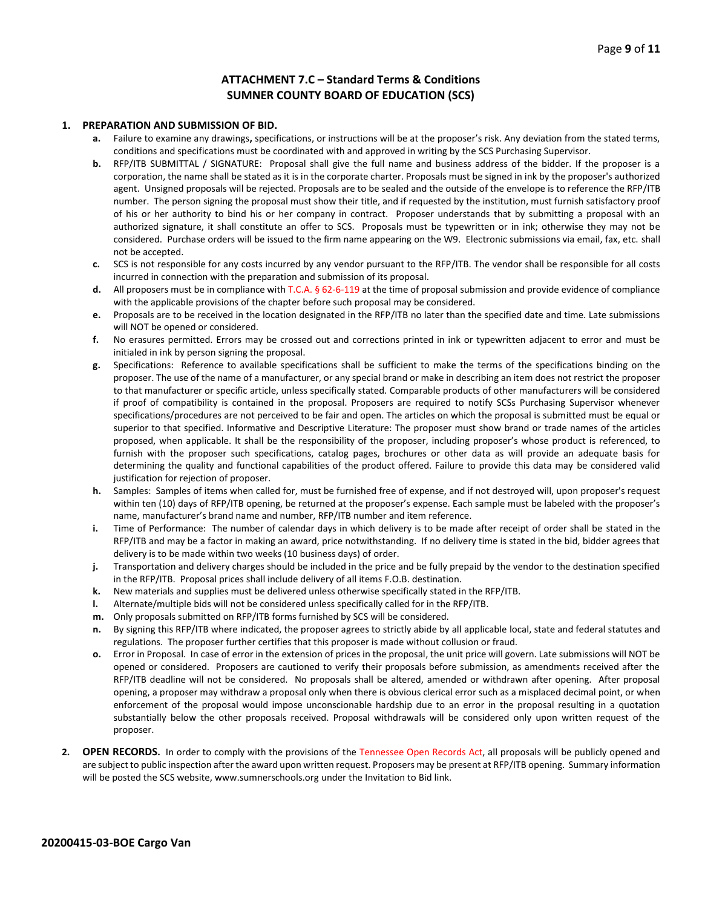#### **ATTACHMENT 7.C – Standard Terms & Conditions SUMNER COUNTY BOARD OF EDUCATION (SCS)**

#### **1. PREPARATION AND SUBMISSION OF BID.**

- **a.** Failure to examine any drawings**,** specifications, or instructions will be at the proposer's risk. Any deviation from the stated terms, conditions and specifications must be coordinated with and approved in writing by the SCS Purchasing Supervisor.
- **b.** RFP/ITB SUBMITTAL / SIGNATURE: Proposal shall give the full name and business address of the bidder. If the proposer is a corporation, the name shall be stated as it is in the corporate charter. Proposals must be signed in ink by the proposer's authorized agent. Unsigned proposals will be rejected. Proposals are to be sealed and the outside of the envelope is to reference the RFP/ITB number. The person signing the proposal must show their title, and if requested by the institution, must furnish satisfactory proof of his or her authority to bind his or her company in contract. Proposer understands that by submitting a proposal with an authorized signature, it shall constitute an offer to SCS. Proposals must be typewritten or in ink; otherwise they may not be considered. Purchase orders will be issued to the firm name appearing on the W9. Electronic submissions via email, fax, etc. shall not be accepted.
- **c.** SCS is not responsible for any costs incurred by any vendor pursuant to the RFP/ITB. The vendor shall be responsible for all costs incurred in connection with the preparation and submission of its proposal.
- **d.** All proposers must be in compliance with T.C.A. § 62-6-119 at the time of proposal submission and provide evidence of compliance with the applicable provisions of the chapter before such proposal may be considered.
- **e.** Proposals are to be received in the location designated in the RFP/ITB no later than the specified date and time. Late submissions will NOT be opened or considered.
- **f.** No erasures permitted. Errors may be crossed out and corrections printed in ink or typewritten adjacent to error and must be initialed in ink by person signing the proposal.
- **g.** Specifications: Reference to available specifications shall be sufficient to make the terms of the specifications binding on the proposer. The use of the name of a manufacturer, or any special brand or make in describing an item does not restrict the proposer to that manufacturer or specific article, unless specifically stated. Comparable products of other manufacturers will be considered if proof of compatibility is contained in the proposal. Proposers are required to notify SCSs Purchasing Supervisor whenever specifications/procedures are not perceived to be fair and open. The articles on which the proposal is submitted must be equal or superior to that specified. Informative and Descriptive Literature: The proposer must show brand or trade names of the articles proposed, when applicable. It shall be the responsibility of the proposer, including proposer's whose product is referenced, to furnish with the proposer such specifications, catalog pages, brochures or other data as will provide an adequate basis for determining the quality and functional capabilities of the product offered. Failure to provide this data may be considered valid justification for rejection of proposer.
- **h.** Samples: Samples of items when called for, must be furnished free of expense, and if not destroyed will, upon proposer's request within ten (10) days of RFP/ITB opening, be returned at the proposer's expense. Each sample must be labeled with the proposer's name, manufacturer's brand name and number, RFP/ITB number and item reference.
- **i.** Time of Performance: The number of calendar days in which delivery is to be made after receipt of order shall be stated in the RFP/ITB and may be a factor in making an award, price notwithstanding. If no delivery time is stated in the bid, bidder agrees that delivery is to be made within two weeks (10 business days) of order.
- **j.** Transportation and delivery charges should be included in the price and be fully prepaid by the vendor to the destination specified in the RFP/ITB. Proposal prices shall include delivery of all items F.O.B. destination.
- **k.** New materials and supplies must be delivered unless otherwise specifically stated in the RFP/ITB.
- **l.** Alternate/multiple bids will not be considered unless specifically called for in the RFP/ITB.
- **m.** Only proposals submitted on RFP/ITB forms furnished by SCS will be considered.
- **n.** By signing this RFP/ITB where indicated, the proposer agrees to strictly abide by all applicable local, state and federal statutes and regulations. The proposer further certifies that this proposer is made without collusion or fraud.
- **o.** Error in Proposal. In case of error in the extension of prices in the proposal, the unit price will govern. Late submissions will NOT be opened or considered. Proposers are cautioned to verify their proposals before submission, as amendments received after the RFP/ITB deadline will not be considered. No proposals shall be altered, amended or withdrawn after opening. After proposal opening, a proposer may withdraw a proposal only when there is obvious clerical error such as a misplaced decimal point, or when enforcement of the proposal would impose unconscionable hardship due to an error in the proposal resulting in a quotation substantially below the other proposals received. Proposal withdrawals will be considered only upon written request of the proposer.
- **2. OPEN RECORDS.** In order to comply with the provisions of the Tennessee Open Records Act, all proposals will be publicly opened and are subject to public inspection after the award upon written request. Proposers may be present at RFP/ITB opening. Summary information will be posted the SCS website, www.sumnerschools.org under the Invitation to Bid link.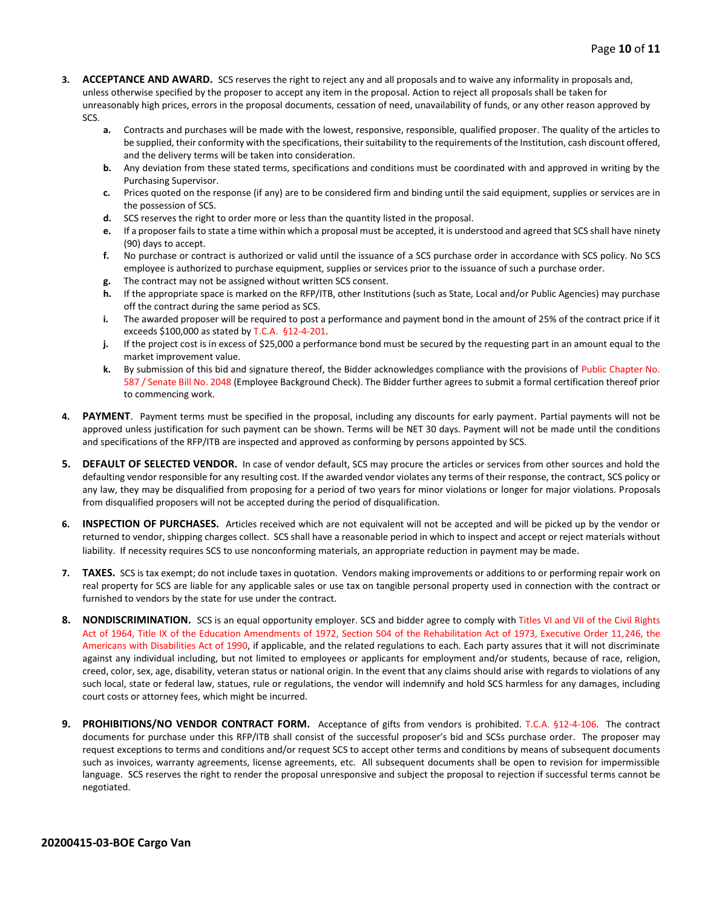- **3. ACCEPTANCE AND AWARD.** SCS reserves the right to reject any and all proposals and to waive any informality in proposals and, unless otherwise specified by the proposer to accept any item in the proposal. Action to reject all proposals shall be taken for unreasonably high prices, errors in the proposal documents, cessation of need, unavailability of funds, or any other reason approved by SCS.
	- **a.** Contracts and purchases will be made with the lowest, responsive, responsible, qualified proposer. The quality of the articles to be supplied, their conformity with the specifications, their suitability to the requirements of the Institution, cash discount offered, and the delivery terms will be taken into consideration.
	- **b.** Any deviation from these stated terms, specifications and conditions must be coordinated with and approved in writing by the Purchasing Supervisor.
	- **c.** Prices quoted on the response (if any) are to be considered firm and binding until the said equipment, supplies or services are in the possession of SCS.
	- **d.** SCS reserves the right to order more or less than the quantity listed in the proposal.
	- **e.** If a proposer fails to state a time within which a proposal must be accepted, it is understood and agreed that SCS shall have ninety (90) days to accept.
	- **f.** No purchase or contract is authorized or valid until the issuance of a SCS purchase order in accordance with SCS policy. No SCS employee is authorized to purchase equipment, supplies or services prior to the issuance of such a purchase order.
	- **g.** The contract may not be assigned without written SCS consent.
	- **h.** If the appropriate space is marked on the RFP/ITB, other Institutions (such as State, Local and/or Public Agencies) may purchase off the contract during the same period as SCS.
	- **i.** The awarded proposer will be required to post a performance and payment bond in the amount of 25% of the contract price if it exceeds \$100,000 as stated by T.C.A. §12-4-201.
	- **j.** If the project cost is in excess of \$25,000 a performance bond must be secured by the requesting part in an amount equal to the market improvement value.
	- **k.** By submission of this bid and signature thereof, the Bidder acknowledges compliance with the provisions of Public Chapter No. 587 / Senate Bill No. 2048 (Employee Background Check). The Bidder further agrees to submit a formal certification thereof prior to commencing work.
- **4. PAYMENT**. Payment terms must be specified in the proposal, including any discounts for early payment. Partial payments will not be approved unless justification for such payment can be shown. Terms will be NET 30 days. Payment will not be made until the conditions and specifications of the RFP/ITB are inspected and approved as conforming by persons appointed by SCS.
- **5. DEFAULT OF SELECTED VENDOR.** In case of vendor default, SCS may procure the articles or services from other sources and hold the defaulting vendor responsible for any resulting cost. If the awarded vendor violates any terms of their response, the contract, SCS policy or any law, they may be disqualified from proposing for a period of two years for minor violations or longer for major violations. Proposals from disqualified proposers will not be accepted during the period of disqualification.
- **6. INSPECTION OF PURCHASES.** Articles received which are not equivalent will not be accepted and will be picked up by the vendor or returned to vendor, shipping charges collect. SCS shall have a reasonable period in which to inspect and accept or reject materials without liability. If necessity requires SCS to use nonconforming materials, an appropriate reduction in payment may be made.
- **7. TAXES.** SCS is tax exempt; do not include taxes in quotation. Vendors making improvements or additions to or performing repair work on real property for SCS are liable for any applicable sales or use tax on tangible personal property used in connection with the contract or furnished to vendors by the state for use under the contract.
- **8. NONDISCRIMINATION.** SCS is an equal opportunity employer. SCS and bidder agree to comply with Titles VI and VII of the Civil Rights Act of 1964, Title IX of the Education Amendments of 1972, Section 504 of the Rehabilitation Act of 1973, Executive Order 11,246, the Americans with Disabilities Act of 1990, if applicable, and the related regulations to each. Each party assures that it will not discriminate against any individual including, but not limited to employees or applicants for employment and/or students, because of race, religion, creed, color, sex, age, disability, veteran status or national origin. In the event that any claims should arise with regards to violations of any such local, state or federal law, statues, rule or regulations, the vendor will indemnify and hold SCS harmless for any damages, including court costs or attorney fees, which might be incurred.
- **9. PROHIBITIONS/NO VENDOR CONTRACT FORM.** Acceptance of gifts from vendors is prohibited. T.C.A. §12-4-106. The contract documents for purchase under this RFP/ITB shall consist of the successful proposer's bid and SCSs purchase order. The proposer may request exceptions to terms and conditions and/or request SCS to accept other terms and conditions by means of subsequent documents such as invoices, warranty agreements, license agreements, etc. All subsequent documents shall be open to revision for impermissible language. SCS reserves the right to render the proposal unresponsive and subject the proposal to rejection if successful terms cannot be negotiated.